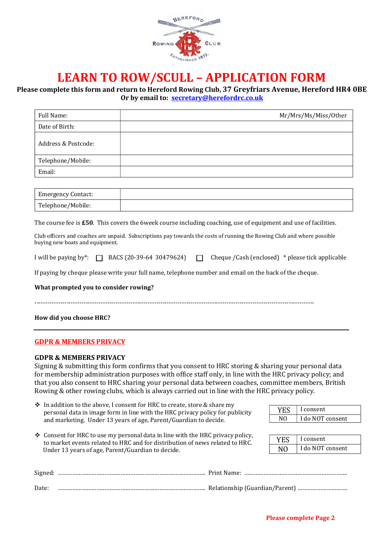

# LEARN TO ROW/SCULL – APPLICATION FORM

## Please complete this form and return to Hereford Rowing Club, 37 Greyfriars Avenue, Hereford HR4 0BE Or by email to: secretary@herefordrc.co.uk

| Full Name:          | Mr/Mrs/Ms/Miss/Other |
|---------------------|----------------------|
| Date of Birth:      |                      |
| Address & Postcode: |                      |
| Telephone/Mobile:   |                      |
| Email:              |                      |

| Emergency Contact: |  |
|--------------------|--|
| Telephone/Mobile:  |  |

The course fee is £50. This covers the 6week course including coaching, use of equipment and use of facilities.

Club officers and coaches are unpaid. Subscriptions pay towards the costs of running the Rowing Club and where possible buying new boats and equipment.

|  | I will be paying by*: $\Box$ BACS (20-39-64 30479624) $\Box$ Cheque /Cash (enclosed) * please tick applicable |  |  |
|--|---------------------------------------------------------------------------------------------------------------|--|--|
|  |                                                                                                               |  |  |

If paying by cheque please write your full name, telephone number and email on the back of the cheque.

What prompted you to consider rowing?

-----------------------------------------------------------------------------------------------------------------------------------

How did you choose HRC?

## GDPR & MEMBERS PRIVACY

#### GDPR & MEMBERS PRIVACY

Signing & submitting this form confirms that you consent to HRC storing & sharing your personal data for membership administration purposes with office staff only, in line with the HRC privacy policy; and that you also consent to HRC sharing your personal data between coaches, committee members, British Rowing & other rowing clubs, which is always carried out in line with the HRC privacy policy.

 In addition to the above, I consent for HRC to create, store & share my personal data in image form in line with the HRC privacy policy for publicity and marketing. Under 13 years of age, Parent/Guardian to decide.

| T consent        |
|------------------|
| I do NOT consent |

 $\triangle$  Consent for HRC to use my personal data in line with the HRC privacy policy, to market events related to HRC and for distribution of news related to HRC. Under 13 years of age, Parent/Guardian to decide.

| I consent        |
|------------------|
| I do NOT consent |

| Signed: |  |  |  |
|---------|--|--|--|
| Date:   |  |  |  |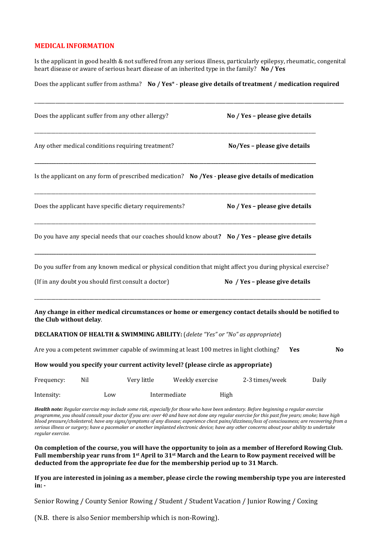## MEDICAL INFORMATION

Is the applicant in good health & not suffered from any serious illness, particularly epilepsy, rheumatic, congenital heart disease or aware of serious heart disease of an inherited type in the family? No / Yes

Does the applicant suffer from asthma? No / Yes<sup>\*</sup> - please give details of treatment / medication required

| Does the applicant suffer from any other allergy?<br>No / Yes - please give details |     |     |                                                                                        |                 |      |                                                                                                                                               |     |       |
|-------------------------------------------------------------------------------------|-----|-----|----------------------------------------------------------------------------------------|-----------------|------|-----------------------------------------------------------------------------------------------------------------------------------------------|-----|-------|
|                                                                                     |     |     | Any other medical conditions requiring treatment?                                      |                 |      | No/Yes - please give details                                                                                                                  |     |       |
|                                                                                     |     |     |                                                                                        |                 |      | Is the applicant on any form of prescribed medication? No /Yes - please give details of medication                                            |     |       |
|                                                                                     |     |     | Does the applicant have specific dietary requirements?                                 |                 |      | No / Yes - please give details                                                                                                                |     |       |
|                                                                                     |     |     |                                                                                        |                 |      | Do you have any special needs that our coaches should know about? No / Yes - please give details                                              |     |       |
|                                                                                     |     |     | (If in any doubt you should first consult a doctor)                                    |                 |      | Do you suffer from any known medical or physical condition that might affect you during physical exercise?<br>No / Yes - please give details  |     |       |
| the Club without delay.                                                             |     |     |                                                                                        |                 |      | Any change in either medical circumstances or home or emergency contact details should be notified to                                         |     |       |
|                                                                                     |     |     |                                                                                        |                 |      | <b>DECLARATION OF HEALTH &amp; SWIMMING ABILITY:</b> (delete "Yes" or "No" as appropriate)                                                    |     |       |
|                                                                                     |     |     | Are you a competent swimmer capable of swimming at least 100 metres in light clothing? |                 |      |                                                                                                                                               | Yes | No    |
|                                                                                     |     |     | How would you specify your current activity level? (please circle as appropriate)      |                 |      |                                                                                                                                               |     |       |
| Frequency:                                                                          | Nil |     | Very little                                                                            | Weekly exercise |      | 2-3 times/week                                                                                                                                |     | Daily |
| Intensity:                                                                          |     | Low |                                                                                        | Intermediate    | High |                                                                                                                                               |     |       |
|                                                                                     |     |     |                                                                                        |                 |      | <b>Health note:</b> Reaular exercise may include some risk, especially for those who have been sedentary. Refore beginning a reaular exercise |     |       |

Health note: Regular exercise may include some risk, especially for those who have been sedentary. Before beginning a regular exercise programme, you should consult your doctor if you are: over 40 and have not done any regular exercise for this past five years; smoke; have high blood pressure/cholesterol; have any signs/symptoms of any disease; experience chest pains/dizziness/loss of consciousness; are recovering from a serious illness or surgery; have a pacemaker or another implanted electronic device; have any other concerns about your ability to undertake regular exercise.

On completion of the course, you will have the opportunity to join as a member of Hereford Rowing Club. Full membership year runs from 1st April to 31st March and the Learn to Row payment received will be deducted from the appropriate fee due for the membership period up to 31 March.

If you are interested in joining as a member, please circle the rowing membership type you are interested in: -

Senior Rowing / County Senior Rowing / Student / Student Vacation / Junior Rowing / Coxing

(N.B. there is also Senior membership which is non-Rowing).